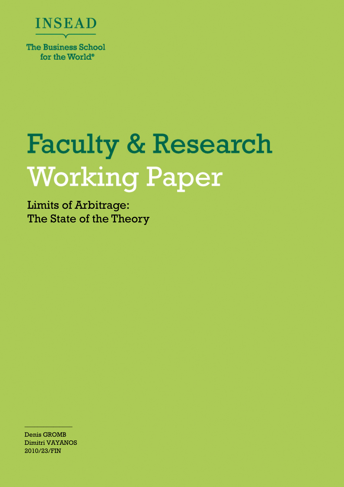

# **Faculty & Research Working Paper**

Limits of Arbitrage: The State of the Theory

Denis GROMB Dimitri VAYANOS 2010/23/FIN

 $-\frac{1}{2}$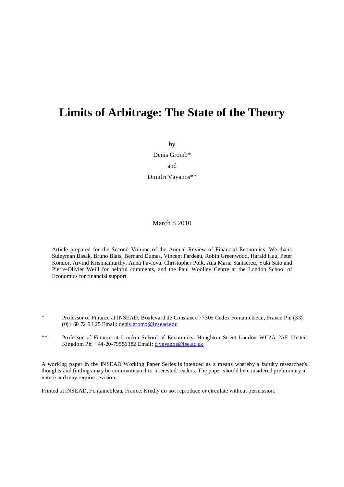# **Limits of Arbitrage: The State of the Theory**

by

Denis Gromb\* and Dimitri Vayanos\*\*

# March 8 2010

Article prepared for the Second Volume of the Annual Review of Financial Economics. We thank Suleyman Basak, Bruno Biais, Bernard Dumas, Vincent Fardeau, Robin Greenwood, Harald Hau, Peter Kondor, Arvind Krishnamurthy, Anna Pavlova, Christopher Polk, Ana Maria Santacreu, Yuki Sato and Pierre-Olivier Weill for helpful comments, and the Paul Woolley Centre at the London School of Economics for financial support.

- \* Professor of Finance at INSEAD, Boulevard de Constance 77305 Cedex Fontainebleau, France Ph: (33) (0)1 60 72 91 25 Email: denis.gromb@insead.edu
- \*\* Professor of Finance at London School of Economics, Houghton Street London WC2A 2AE United Kingdom Ph: +44-20-79556382 Email: d.vayanos@lse.ac.uk

A working paper in the INSEAD Working Paper Series is intended as a means whereby a faculty researcher's thoughts and findings may be communicated to interested readers. The paper should be considered preliminary in nature and may require revision.

Printed at INSEAD, Fontainebleau, France. Kindly do not reproduce or circulate without permission.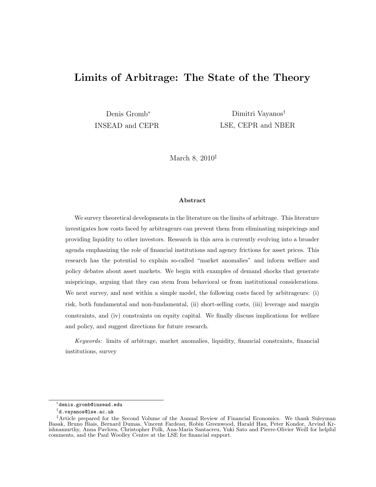# Limits of Arbitrage: The State of the Theory

Denis Gromb<sup>∗</sup> INSEAD and CEPR

Dimitri Vayanos† LSE, CEPR and NBER

March 8, 2010‡

#### Abstract

We survey theoretical developments in the literature on the limits of arbitrage. This literature investigates how costs faced by arbitrageurs can prevent them from eliminating mispricings and providing liquidity to other investors. Research in this area is currently evolving into a broader agenda emphasizing the role of financial institutions and agency frictions for asset prices. This research has the potential to explain so-called "market anomalies" and inform welfare and policy debates about asset markets. We begin with examples of demand shocks that generate mispricings, arguing that they can stem from behavioral or from institutional considerations. We next survey, and nest within a simple model, the following costs faced by arbitrageurs: (i) risk, both fundamental and non-fundamental, (ii) short-selling costs, (iii) leverage and margin constraints, and (iv) constraints on equity capital. We finally discuss implications for welfare and policy, and suggest directions for future research.

Keywords: limits of arbitrage, market anomalies, liquidity, financial constraints, financial institutions, survey

<sup>∗</sup> denis.gromb@insead.edu

 $^\dagger$ d.vayanos@lse.ac.uk

<sup>‡</sup>Article prepared for the Second Volume of the Annual Review of Financial Economics. We thank Suleyman Basak, Bruno Biais, Bernard Dumas, Vincent Fardeau, Robin Greenwood, Harald Hau, Peter Kondor, Arvind Krishnamurthy, Anna Pavlova, Christopher Polk, Ana-Maria Santacreu, Yuki Sato and Pierre-Olivier Weill for helpful comments, and the Paul Woolley Centre at the LSE for financial support.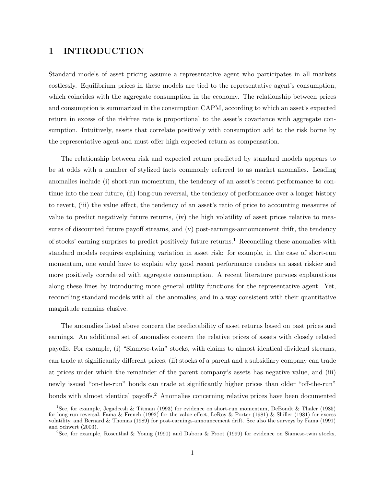# 1 INTRODUCTION

Standard models of asset pricing assume a representative agent who participates in all markets costlessly. Equilibrium prices in these models are tied to the representative agent's consumption, which coincides with the aggregate consumption in the economy. The relationship between prices and consumption is summarized in the consumption CAPM, according to which an asset's expected return in excess of the riskfree rate is proportional to the asset's covariance with aggregate consumption. Intuitively, assets that correlate positively with consumption add to the risk borne by the representative agent and must offer high expected return as compensation.

The relationship between risk and expected return predicted by standard models appears to be at odds with a number of stylized facts commonly referred to as market anomalies. Leading anomalies include (i) short-run momentum, the tendency of an asset's recent performance to continue into the near future, (ii) long-run reversal, the tendency of performance over a longer history to revert, (iii) the value effect, the tendency of an asset's ratio of price to accounting measures of value to predict negatively future returns, (iv) the high volatility of asset prices relative to measures of discounted future payoff streams, and (v) post-earnings-announcement drift, the tendency of stocks' earning surprises to predict positively future returns.<sup>1</sup> Reconciling these anomalies with standard models requires explaining variation in asset risk: for example, in the case of short-run momentum, one would have to explain why good recent performance renders an asset riskier and more positively correlated with aggregate consumption. A recent literature pursues explanations along these lines by introducing more general utility functions for the representative agent. Yet, reconciling standard models with all the anomalies, and in a way consistent with their quantitative magnitude remains elusive.

The anomalies listed above concern the predictability of asset returns based on past prices and earnings. An additional set of anomalies concern the relative prices of assets with closely related payoffs. For example, (i) "Siamese-twin" stocks, with claims to almost identical dividend streams, can trade at significantly different prices, (ii) stocks of a parent and a subsidiary company can trade at prices under which the remainder of the parent company's assets has negative value, and (iii) newly issued "on-the-run" bonds can trade at significantly higher prices than older "off-the-run" bonds with almost identical payoffs.<sup>2</sup> Anomalies concerning relative prices have been documented

<sup>&</sup>lt;sup>1</sup>See, for example, Jegadeesh & Titman (1993) for evidence on short-run momentum, DeBondt & Thaler (1985) for long-run reversal, Fama & French (1992) for the value effect, LeRoy & Porter (1981) & Shiller (1981) for excess volatility, and Bernard & Thomas (1989) for post-earnings-announcement drift. See also the surveys by Fama (1991) and Schwert (2003).

<sup>&</sup>lt;sup>2</sup>See, for example, Rosenthal & Young (1990) and Dabora & Froot (1999) for evidence on Siamese-twin stocks,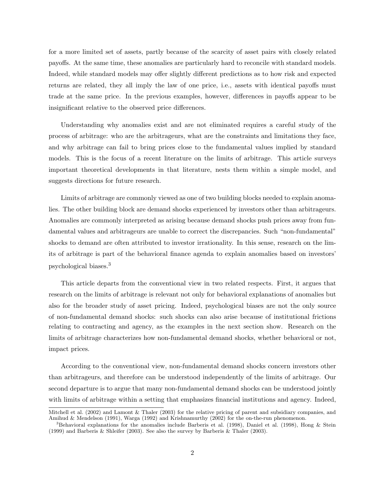for a more limited set of assets, partly because of the scarcity of asset pairs with closely related payoffs. At the same time, these anomalies are particularly hard to reconcile with standard models. Indeed, while standard models may offer slightly different predictions as to how risk and expected returns are related, they all imply the law of one price, i.e., assets with identical payoffs must trade at the same price. In the previous examples, however, differences in payoffs appear to be insignificant relative to the observed price differences.

Understanding why anomalies exist and are not eliminated requires a careful study of the process of arbitrage: who are the arbitrageurs, what are the constraints and limitations they face, and why arbitrage can fail to bring prices close to the fundamental values implied by standard models. This is the focus of a recent literature on the limits of arbitrage. This article surveys important theoretical developments in that literature, nests them within a simple model, and suggests directions for future research.

Limits of arbitrage are commonly viewed as one of two building blocks needed to explain anomalies. The other building block are demand shocks experienced by investors other than arbitrageurs. Anomalies are commonly interpreted as arising because demand shocks push prices away from fundamental values and arbitrageurs are unable to correct the discrepancies. Such "non-fundamental" shocks to demand are often attributed to investor irrationality. In this sense, research on the limits of arbitrage is part of the behavioral finance agenda to explain anomalies based on investors' psychological biases.<sup>3</sup>

This article departs from the conventional view in two related respects. First, it argues that research on the limits of arbitrage is relevant not only for behavioral explanations of anomalies but also for the broader study of asset pricing. Indeed, psychological biases are not the only source of non-fundamental demand shocks: such shocks can also arise because of institutional frictions relating to contracting and agency, as the examples in the next section show. Research on the limits of arbitrage characterizes how non-fundamental demand shocks, whether behavioral or not, impact prices.

According to the conventional view, non-fundamental demand shocks concern investors other than arbitrageurs, and therefore can be understood independently of the limits of arbitrage. Our second departure is to argue that many non-fundamental demand shocks can be understood jointly with limits of arbitrage within a setting that emphasizes financial institutions and agency. Indeed,

Mitchell et al. (2002) and Lamont & Thaler (2003) for the relative pricing of parent and subsidiary companies, and Amihud & Mendelson (1991), Warga (1992) and Krishnamurthy (2002) for the on-the-run phenomenon.

 $3$ Behavioral explanations for the anomalies include Barberis et al. (1998), Daniel et al. (1998), Hong & Stein (1999) and Barberis & Shleifer (2003). See also the survey by Barberis & Thaler (2003).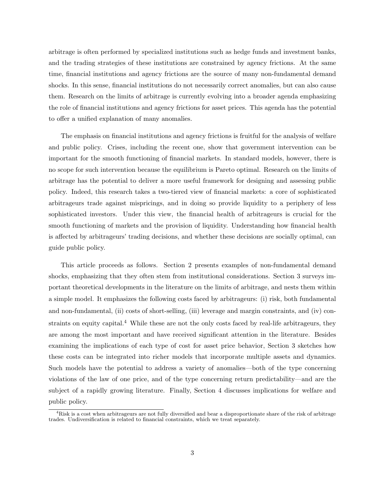arbitrage is often performed by specialized institutions such as hedge funds and investment banks, and the trading strategies of these institutions are constrained by agency frictions. At the same time, financial institutions and agency frictions are the source of many non-fundamental demand shocks. In this sense, financial institutions do not necessarily correct anomalies, but can also cause them. Research on the limits of arbitrage is currently evolving into a broader agenda emphasizing the role of financial institutions and agency frictions for asset prices. This agenda has the potential to offer a unified explanation of many anomalies.

The emphasis on financial institutions and agency frictions is fruitful for the analysis of welfare and public policy. Crises, including the recent one, show that government intervention can be important for the smooth functioning of financial markets. In standard models, however, there is no scope for such intervention because the equilibrium is Pareto optimal. Research on the limits of arbitrage has the potential to deliver a more useful framework for designing and assessing public policy. Indeed, this research takes a two-tiered view of financial markets: a core of sophisticated arbitrageurs trade against mispricings, and in doing so provide liquidity to a periphery of less sophisticated investors. Under this view, the financial health of arbitrageurs is crucial for the smooth functioning of markets and the provision of liquidity. Understanding how financial health is affected by arbitrageurs' trading decisions, and whether these decisions are socially optimal, can guide public policy.

This article proceeds as follows. Section 2 presents examples of non-fundamental demand shocks, emphasizing that they often stem from institutional considerations. Section 3 surveys important theoretical developments in the literature on the limits of arbitrage, and nests them within a simple model. It emphasizes the following costs faced by arbitrageurs: (i) risk, both fundamental and non-fundamental, (ii) costs of short-selling, (iii) leverage and margin constraints, and (iv) constraints on equity capital.<sup>4</sup> While these are not the only costs faced by real-life arbitrageurs, they are among the most important and have received significant attention in the literature. Besides examining the implications of each type of cost for asset price behavior, Section 3 sketches how these costs can be integrated into richer models that incorporate multiple assets and dynamics. Such models have the potential to address a variety of anomalies—both of the type concerning violations of the law of one price, and of the type concerning return predictability—and are the subject of a rapidly growing literature. Finally, Section 4 discusses implications for welfare and public policy.

 ${}^{4}$ Risk is a cost when arbitrageurs are not fully diversified and bear a disproportionate share of the risk of arbitrage trades. Undiversification is related to financial constraints, which we treat separately.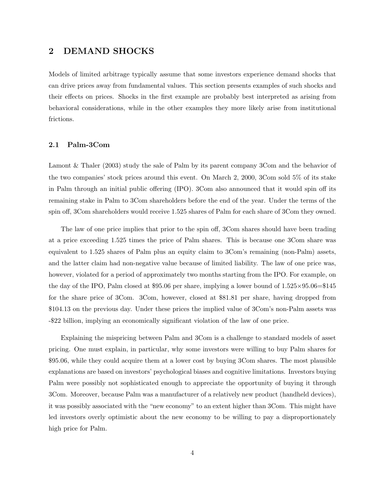# 2 DEMAND SHOCKS

Models of limited arbitrage typically assume that some investors experience demand shocks that can drive prices away from fundamental values. This section presents examples of such shocks and their effects on prices. Shocks in the first example are probably best interpreted as arising from behavioral considerations, while in the other examples they more likely arise from institutional frictions.

# 2.1 Palm-3Com

Lamont & Thaler (2003) study the sale of Palm by its parent company 3Com and the behavior of the two companies' stock prices around this event. On March 2, 2000, 3Com sold 5% of its stake in Palm through an initial public offering (IPO). 3Com also announced that it would spin off its remaining stake in Palm to 3Com shareholders before the end of the year. Under the terms of the spin off, 3Com shareholders would receive 1.525 shares of Palm for each share of 3Com they owned.

The law of one price implies that prior to the spin off, 3Com shares should have been trading at a price exceeding 1.525 times the price of Palm shares. This is because one 3Com share was equivalent to 1.525 shares of Palm plus an equity claim to 3Com's remaining (non-Palm) assets, and the latter claim had non-negative value because of limited liability. The law of one price was, however, violated for a period of approximately two months starting from the IPO. For example, on the day of the IPO, Palm closed at \$95.06 per share, implying a lower bound of  $1.525 \times 95.06 = $145$ for the share price of 3Com. 3Com, however, closed at \$81.81 per share, having dropped from \$104.13 on the previous day. Under these prices the implied value of 3Com's non-Palm assets was -\$22 billion, implying an economically significant violation of the law of one price.

Explaining the mispricing between Palm and 3Com is a challenge to standard models of asset pricing. One must explain, in particular, why some investors were willing to buy Palm shares for \$95.06, while they could acquire them at a lower cost by buying 3Com shares. The most plausible explanations are based on investors' psychological biases and cognitive limitations. Investors buying Palm were possibly not sophisticated enough to appreciate the opportunity of buying it through 3Com. Moreover, because Palm was a manufacturer of a relatively new product (handheld devices), it was possibly associated with the "new economy" to an extent higher than 3Com. This might have led investors overly optimistic about the new economy to be willing to pay a disproportionately high price for Palm.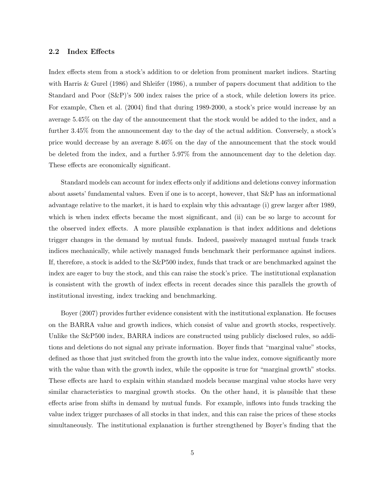## 2.2 Index Effects

Index effects stem from a stock's addition to or deletion from prominent market indices. Starting with Harris & Gurel (1986) and Shleifer (1986), a number of papers document that addition to the Standard and Poor (S&P)'s 500 index raises the price of a stock, while deletion lowers its price. For example, Chen et al. (2004) find that during 1989-2000, a stock's price would increase by an average 5.45% on the day of the announcement that the stock would be added to the index, and a further 3.45% from the announcement day to the day of the actual addition. Conversely, a stock's price would decrease by an average 8.46% on the day of the announcement that the stock would be deleted from the index, and a further 5.97% from the announcement day to the deletion day. These effects are economically significant.

Standard models can account for index effects only if additions and deletions convey information about assets' fundamental values. Even if one is to accept, however, that S&P has an informational advantage relative to the market, it is hard to explain why this advantage (i) grew larger after 1989, which is when index effects became the most significant, and (ii) can be so large to account for the observed index effects. A more plausible explanation is that index additions and deletions trigger changes in the demand by mutual funds. Indeed, passively managed mutual funds track indices mechanically, while actively managed funds benchmark their performance against indices. If, therefore, a stock is added to the S&P500 index, funds that track or are benchmarked against the index are eager to buy the stock, and this can raise the stock's price. The institutional explanation is consistent with the growth of index effects in recent decades since this parallels the growth of institutional investing, index tracking and benchmarking.

Boyer (2007) provides further evidence consistent with the institutional explanation. He focuses on the BARRA value and growth indices, which consist of value and growth stocks, respectively. Unlike the S&P500 index, BARRA indices are constructed using publicly disclosed rules, so additions and deletions do not signal any private information. Boyer finds that "marginal value" stocks, defined as those that just switched from the growth into the value index, comove significantly more with the value than with the growth index, while the opposite is true for "marginal growth" stocks. These effects are hard to explain within standard models because marginal value stocks have very similar characteristics to marginal growth stocks. On the other hand, it is plausible that these effects arise from shifts in demand by mutual funds. For example, inflows into funds tracking the value index trigger purchases of all stocks in that index, and this can raise the prices of these stocks simultaneously. The institutional explanation is further strengthened by Boyer's finding that the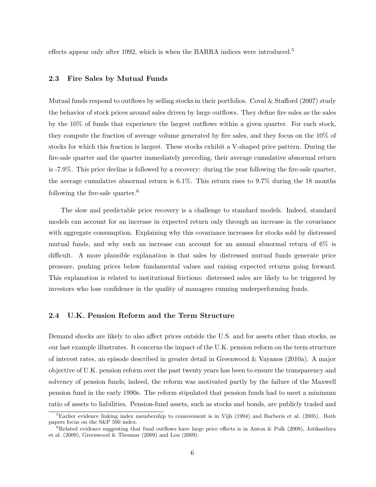effects appear only after 1992, which is when the BARRA indices were introduced.<sup>5</sup>

## 2.3 Fire Sales by Mutual Funds

Mutual funds respond to outflows by selling stocks in their portfolios. Coval  $&$  Stafford (2007) study the behavior of stock prices around sales driven by large outflows. They define fire sales as the sales by the 10% of funds that experience the largest outflows within a given quarter. For each stock, they compute the fraction of average volume generated by fire sales, and they focus on the 10% of stocks for which this fraction is largest. These stocks exhibit a V-shaped price pattern. During the fire-sale quarter and the quarter immediately preceding, their average cumulative abnormal return is -7.9%. This price decline is followed by a recovery: during the year following the fire-sale quarter, the average cumulative abnormal return is 6.1%. This return rises to 9.7% during the 18 months following the fire-sale quarter.<sup>6</sup>

The slow and predictable price recovery is a challenge to standard models. Indeed, standard models can account for an increase in expected return only through an increase in the covariance with aggregate consumption. Explaining why this covariance increases for stocks sold by distressed mutual funds, and why such an increase can account for an annual abnormal return of 6% is difficult. A more plausible explanation is that sales by distressed mutual funds generate price pressure, pushing prices below fundamental values and raising expected returns going forward. This explanation is related to institutional frictions: distressed sales are likely to be triggered by investors who lose confidence in the quality of managers running underperforming funds.

# 2.4 U.K. Pension Reform and the Term Structure

Demand shocks are likely to also affect prices outside the U.S. and for assets other than stocks, as our last example illustrates. It concerns the impact of the U.K. pension reform on the term structure of interest rates, an episode described in greater detail in Greenwood & Vayanos (2010a). A major objective of U.K. pension reform over the past twenty years has been to ensure the transparency and solvency of pension funds; indeed, the reform was motivated partly by the failure of the Maxwell pension fund in the early 1990s. The reform stipulated that pension funds had to meet a minimum ratio of assets to liabilities. Pension-fund assets, such as stocks and bonds, are publicly traded and

<sup>5</sup>Earlier evidence linking index membership to comovement is in Vijh (1994) and Barberis et al. (2005). Both papers focus on the S&P 500 index.

<sup>&</sup>lt;sup>6</sup>Related evidence suggesting that fund outflows have large price effects is in Anton & Polk (2008), Jotikasthira et al. (2009), Greenwood & Thesmar (2009) and Lou (2009).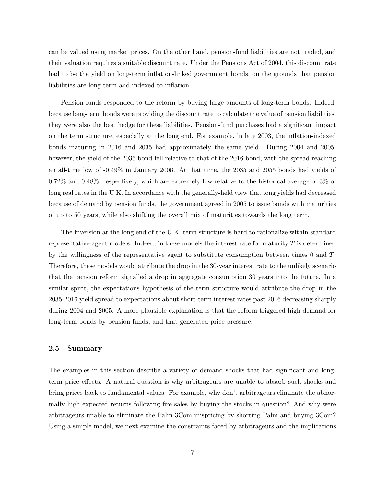can be valued using market prices. On the other hand, pension-fund liabilities are not traded, and their valuation requires a suitable discount rate. Under the Pensions Act of 2004, this discount rate had to be the yield on long-term inflation-linked government bonds, on the grounds that pension liabilities are long term and indexed to inflation.

Pension funds responded to the reform by buying large amounts of long-term bonds. Indeed, because long-term bonds were providing the discount rate to calculate the value of pension liabilities, they were also the best hedge for these liabilities. Pension-fund purchases had a significant impact on the term structure, especially at the long end. For example, in late 2003, the inflation-indexed bonds maturing in 2016 and 2035 had approximately the same yield. During 2004 and 2005, however, the yield of the 2035 bond fell relative to that of the 2016 bond, with the spread reaching an all-time low of -0.49% in January 2006. At that time, the 2035 and 2055 bonds had yields of 0.72% and 0.48%, respectively, which are extremely low relative to the historical average of 3% of long real rates in the U.K. In accordance with the generally-held view that long yields had decreased because of demand by pension funds, the government agreed in 2005 to issue bonds with maturities of up to 50 years, while also shifting the overall mix of maturities towards the long term.

The inversion at the long end of the U.K. term structure is hard to rationalize within standard representative-agent models. Indeed, in these models the interest rate for maturity  $T$  is determined by the willingness of the representative agent to substitute consumption between times 0 and T. Therefore, these models would attribute the drop in the 30-year interest rate to the unlikely scenario that the pension reform signalled a drop in aggregate consumption 30 years into the future. In a similar spirit, the expectations hypothesis of the term structure would attribute the drop in the 2035-2016 yield spread to expectations about short-term interest rates past 2016 decreasing sharply during 2004 and 2005. A more plausible explanation is that the reform triggered high demand for long-term bonds by pension funds, and that generated price pressure.

# 2.5 Summary

The examples in this section describe a variety of demand shocks that had significant and longterm price effects. A natural question is why arbitrageurs are unable to absorb such shocks and bring prices back to fundamental values. For example, why don't arbitrageurs eliminate the abnormally high expected returns following fire sales by buying the stocks in question? And why were arbitrageurs unable to eliminate the Palm-3Com mispricing by shorting Palm and buying 3Com? Using a simple model, we next examine the constraints faced by arbitrageurs and the implications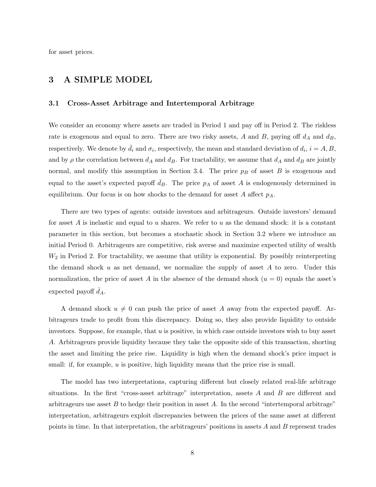for asset prices.

# 3 A SIMPLE MODEL

# 3.1 Cross-Asset Arbitrage and Intertemporal Arbitrage

We consider an economy where assets are traded in Period 1 and pay off in Period 2. The riskless rate is exogenous and equal to zero. There are two risky assets, A and B, paying off  $d_A$  and  $d_B$ , respectively. We denote by  $\bar{d}_i$  and  $\sigma_i$ , respectively, the mean and standard deviation of  $d_i$ ,  $i = A, B$ , and by  $\rho$  the correlation between  $d_A$  and  $d_B$ . For tractability, we assume that  $d_A$  and  $d_B$  are jointly normal, and modify this assumption in Section 3.4. The price  $p_B$  of asset B is exogenous and equal to the asset's expected payoff  $d_B$ . The price  $p_A$  of asset A is endogenously determined in equilibrium. Our focus is on how shocks to the demand for asset A affect  $p_A$ .

There are two types of agents: outside investors and arbitrageurs. Outside investors' demand for asset A is inelastic and equal to u shares. We refer to u as the demand shock: it is a constant parameter in this section, but becomes a stochastic shock in Section 3.2 where we introduce an initial Period 0. Arbitrageurs are competitive, risk averse and maximize expected utility of wealth  $W_2$  in Period 2. For tractability, we assume that utility is exponential. By possibly reinterpreting the demand shock  $u$  as net demand, we normalize the supply of asset  $A$  to zero. Under this normalization, the price of asset A in the absence of the demand shock  $(u = 0)$  equals the asset's expected payoff  $\bar{d}_A$ .

A demand shock  $u \neq 0$  can push the price of asset A away from the expected payoff. Arbitrageurs trade to profit from this discrepancy. Doing so, they also provide liquidity to outside investors. Suppose, for example, that  $u$  is positive, in which case outside investors wish to buy asset A. Arbitrageurs provide liquidity because they take the opposite side of this transaction, shorting the asset and limiting the price rise. Liquidity is high when the demand shock's price impact is small: if, for example, u is positive, high liquidity means that the price rise is small.

The model has two interpretations, capturing different but closely related real-life arbitrage situations. In the first "cross-asset arbitrage" interpretation, assets  $A$  and  $B$  are different and arbitrageurs use asset  $B$  to hedge their position in asset  $A$ . In the second "intertemporal arbitrage" interpretation, arbitrageurs exploit discrepancies between the prices of the same asset at different points in time. In that interpretation, the arbitrageurs' positions in assets  $A$  and  $B$  represent trades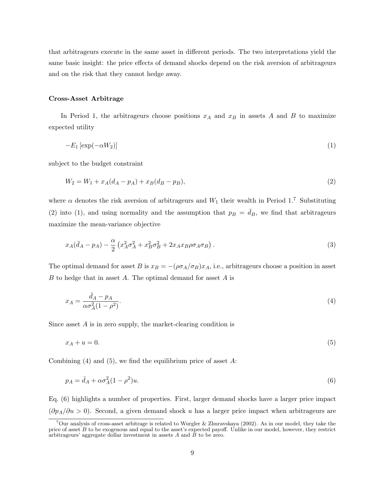that arbitrageurs execute in the same asset in different periods. The two interpretations yield the same basic insight: the price effects of demand shocks depend on the risk aversion of arbitrageurs and on the risk that they cannot hedge away.

#### Cross-Asset Arbitrage

In Period 1, the arbitrageurs choose positions  $x_A$  and  $x_B$  in assets A and B to maximize expected utility

$$
-E_1\left[\exp(-\alpha W_2)\right] \tag{1}
$$

subject to the budget constraint

$$
W_2 = W_1 + x_A(d_A - p_A) + x_B(d_B - p_B),\tag{2}
$$

where  $\alpha$  denotes the risk aversion of arbitrageurs and  $W_1$  their wealth in Period 1.<sup>7</sup> Substituting (2) into (1), and using normality and the assumption that  $p_B = \bar{d}_B$ , we find that arbitrageurs maximize the mean-variance objective

$$
x_A(\bar{d}_A - p_A) - \frac{\alpha}{2} \left( x_A^2 \sigma_A^2 + x_B^2 \sigma_B^2 + 2x_A x_B \rho \sigma_A \sigma_B \right). \tag{3}
$$

The optimal demand for asset B is  $x_B = -(\rho \sigma_A/\sigma_B)x_A$ , i.e., arbitrageurs choose a position in asset B to hedge that in asset A. The optimal demand for asset  $A$  is

$$
x_A = \frac{\bar{d}_A - p_A}{\alpha \sigma_A^2 (1 - \rho^2)}.\tag{4}
$$

Since asset  $A$  is in zero supply, the market-clearing condition is

$$
x_A + u = 0.\tag{5}
$$

Combining  $(4)$  and  $(5)$ , we find the equilibrium price of asset A:

$$
p_A = \bar{d}_A + \alpha \sigma_A^2 (1 - \rho^2) u. \tag{6}
$$

Eq. (6) highlights a number of properties. First, larger demand shocks have a larger price impact  $(\partial p_A/\partial u > 0)$ . Second, a given demand shock u has a larger price impact when arbitrageurs are

<sup>&</sup>lt;sup>7</sup>Our analysis of cross-asset arbitrage is related to Wurgler & Zhuravskaya (2002). As in our model, they take the price of asset  $B$  to be exogenous and equal to the asset's expected payoff. Unlike in our model, however, they restrict arbitrageurs' aggregate dollar investment in assets A and  $\overline{B}$  to be zero.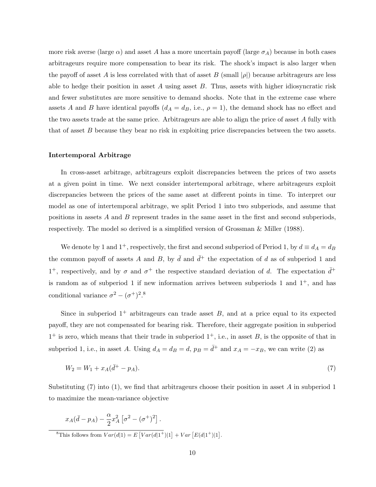more risk averse (large  $\alpha$ ) and asset A has a more uncertain payoff (large  $\sigma_A$ ) because in both cases arbitrageurs require more compensation to bear its risk. The shock's impact is also larger when the payoff of asset A is less correlated with that of asset B (small | $\rho$ |) because arbitrageurs are less able to hedge their position in asset A using asset B. Thus, assets with higher idiosyncratic risk and fewer substitutes are more sensitive to demand shocks. Note that in the extreme case where assets A and B have identical payoffs  $(d_A = d_B, i.e., \rho = 1)$ , the demand shock has no effect and the two assets trade at the same price. Arbitrageurs are able to align the price of asset A fully with that of asset B because they bear no risk in exploiting price discrepancies between the two assets.

#### Intertemporal Arbitrage

In cross-asset arbitrage, arbitrageurs exploit discrepancies between the prices of two assets at a given point in time. We next consider intertemporal arbitrage, where arbitrageurs exploit discrepancies between the prices of the same asset at different points in time. To interpret our model as one of intertemporal arbitrage, we split Period 1 into two subperiods, and assume that positions in assets A and B represent trades in the same asset in the first and second subperiods, respectively. The model so derived is a simplified version of Grossman & Miller (1988).

We denote by 1 and 1<sup>+</sup>, respectively, the first and second subperiod of Period 1, by  $d \equiv d_A = d_B$ the common payoff of assets A and B, by  $\bar{d}$  and  $\bar{d}^+$  the expectation of d as of subperiod 1 and 1<sup>+</sup>, respectively, and by  $\sigma$  and  $\sigma^+$  the respective standard deviation of d. The expectation  $d^+$ is random as of subperiod 1 if new information arrives between subperiods 1 and  $1^+$ , and has conditional variance  $\sigma^2 - (\sigma^+)^2$ <sup>8</sup>

Since in subperiod  $1^+$  arbitrageurs can trade asset B, and at a price equal to its expected payoff, they are not compensated for bearing risk. Therefore, their aggregate position in subperiod  $1^+$  is zero, which means that their trade in subperiod  $1^+$ , i.e., in asset B, is the opposite of that in subperiod 1, i.e., in asset A. Using  $d_A = d_B = d$ ,  $p_B = \bar{d}^+$  and  $x_A = -x_B$ , we can write (2) as

$$
W_2 = W_1 + x_A(\bar{d}^+ - p_A). \tag{7}
$$

Substituting  $(7)$  into  $(1)$ , we find that arbitrageurs choose their position in asset A in subperiod 1 to maximize the mean-variance objective

$$
x_A(\bar{d} - p_A) - \frac{\alpha}{2} x_A^2 \left[ \sigma^2 - (\sigma^+)^2 \right].
$$
  
<sup>8</sup>This follows from  $Var(d|1) = E \left[ Var(d|1^+)|1 \right] + Var \left[ E(d|1^+)|1 \right].$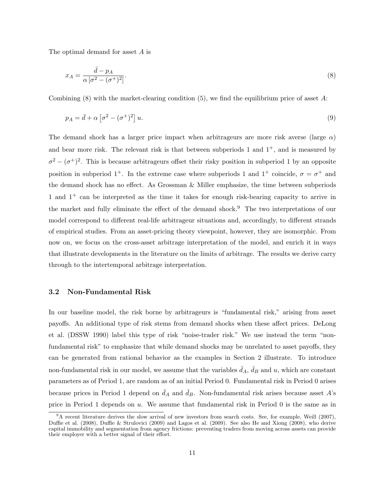The optimal demand for asset A is

$$
x_A = \frac{\bar{d} - p_A}{\alpha \left[\sigma^2 - (\sigma^+)^2\right]}.\tag{8}
$$

Combining  $(8)$  with the market-clearing condition  $(5)$ , we find the equilibrium price of asset A:

$$
p_A = \bar{d} + \alpha \left[ \sigma^2 - (\sigma^+)^2 \right] u. \tag{9}
$$

The demand shock has a larger price impact when arbitrageurs are more risk averse (large  $\alpha$ ) and bear more risk. The relevant risk is that between subperiods 1 and  $1^+$ , and is measured by  $\sigma^2 - (\sigma^+)^2$ . This is because arbitrageurs offset their risky position in subperiod 1 by an opposite position in subperiod 1<sup>+</sup>. In the extreme case where subperiods 1 and 1<sup>+</sup> coincide,  $\sigma = \sigma^+$  and the demand shock has no effect. As Grossman & Miller emphasize, the time between subperiods 1 and  $1^+$  can be interpreted as the time it takes for enough risk-bearing capacity to arrive in the market and fully eliminate the effect of the demand shock.<sup>9</sup> The two interpretations of our model correspond to different real-life arbitrageur situations and, accordingly, to different strands of empirical studies. From an asset-pricing theory viewpoint, however, they are isomorphic. From now on, we focus on the cross-asset arbitrage interpretation of the model, and enrich it in ways that illustrate developments in the literature on the limits of arbitrage. The results we derive carry through to the intertemporal arbitrage interpretation.

#### 3.2 Non-Fundamental Risk

In our baseline model, the risk borne by arbitrageurs is "fundamental risk," arising from asset payoffs. An additional type of risk stems from demand shocks when these affect prices. DeLong et al. (DSSW 1990) label this type of risk "noise-trader risk." We use instead the term "nonfundamental risk" to emphasize that while demand shocks may be unrelated to asset payoffs, they can be generated from rational behavior as the examples in Section 2 illustrate. To introduce non-fundamental risk in our model, we assume that the variables  $\bar{d}_A$ ,  $\bar{d}_B$  and u, which are constant parameters as of Period 1, are random as of an initial Period 0. Fundamental risk in Period 0 arises because prices in Period 1 depend on  $\bar{d}_A$  and  $\bar{d}_B$ . Non-fundamental risk arises because asset A's price in Period 1 depends on u. We assume that fundamental risk in Period 0 is the same as in

<sup>9</sup>A recent literature derives the slow arrival of new investors from search costs. See, for example, Weill (2007), Duffie et al. (2008), Duffie & Strulovici (2009) and Lagos et al. (2009). See also He and Xiong (2008), who derive capital immobility and segmentation from agency frictions: preventing traders from moving across assets can provide their employer with a better signal of their effort.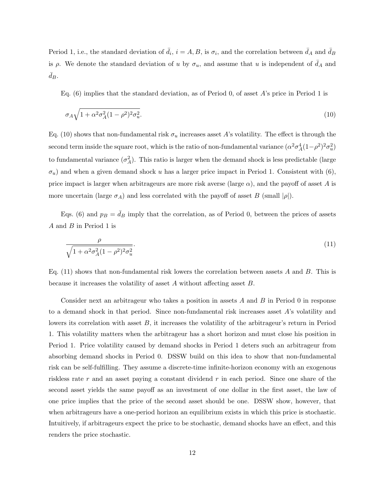Period 1, i.e., the standard deviation of  $\bar{d}_i$ ,  $i = A, B$ , is  $\sigma_i$ , and the correlation between  $\bar{d}_A$  and  $\bar{d}_B$ is  $\rho$ . We denote the standard deviation of u by  $\sigma_u$ , and assume that u is independent of  $\bar{d}_A$  and  $d_B$ .

Eq.  $(6)$  implies that the standard deviation, as of Period 0, of asset A's price in Period 1 is

$$
\sigma_A \sqrt{1 + \alpha^2 \sigma_A^2 (1 - \rho^2)^2 \sigma_u^2}.\tag{10}
$$

Eq. (10) shows that non-fundamental risk  $\sigma_u$  increases asset A's volatility. The effect is through the second term inside the square root, which is the ratio of non-fundamental variance  $(\alpha^2 \sigma_A^4 (1-\rho^2)^2 \sigma_u^2)$ to fundamental variance  $(\sigma_A^2)$ . This ratio is larger when the demand shock is less predictable (large  $\sigma_u$ ) and when a given demand shock u has a larger price impact in Period 1. Consistent with (6), price impact is larger when arbitrageurs are more risk averse (large  $\alpha$ ), and the payoff of asset A is more uncertain (large  $\sigma_A$ ) and less correlated with the payoff of asset B (small  $|\rho|$ ).

Eqs. (6) and  $p_B = \bar{d}_B$  imply that the correlation, as of Period 0, between the prices of assets A and B in Period 1 is

$$
\frac{\rho}{\sqrt{1+\alpha^2\sigma_A^2(1-\rho^2)^2\sigma_u^2}}.\tag{11}
$$

Eq.  $(11)$  shows that non-fundamental risk lowers the correlation between assets A and B. This is because it increases the volatility of asset  $A$  without affecting asset  $B$ .

Consider next an arbitrageur who takes a position in assets A and B in Period 0 in response to a demand shock in that period. Since non-fundamental risk increases asset A's volatility and lowers its correlation with asset  $B$ , it increases the volatility of the arbitrageur's return in Period 1. This volatility matters when the arbitrageur has a short horizon and must close his position in Period 1. Price volatility caused by demand shocks in Period 1 deters such an arbitrageur from absorbing demand shocks in Period 0. DSSW build on this idea to show that non-fundamental risk can be self-fulfilling. They assume a discrete-time infinite-horizon economy with an exogenous riskless rate r and an asset paying a constant dividend  $r$  in each period. Since one share of the second asset yields the same payoff as an investment of one dollar in the first asset, the law of one price implies that the price of the second asset should be one. DSSW show, however, that when arbitrageurs have a one-period horizon an equilibrium exists in which this price is stochastic. Intuitively, if arbitrageurs expect the price to be stochastic, demand shocks have an effect, and this renders the price stochastic.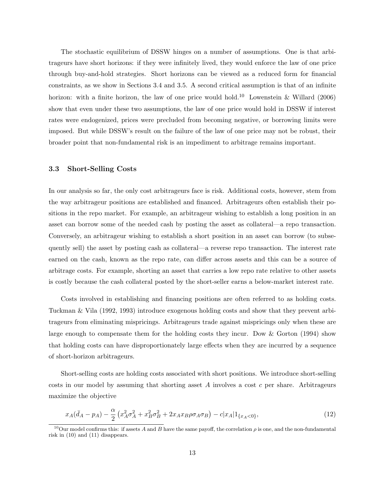The stochastic equilibrium of DSSW hinges on a number of assumptions. One is that arbitrageurs have short horizons: if they were infinitely lived, they would enforce the law of one price through buy-and-hold strategies. Short horizons can be viewed as a reduced form for financial constraints, as we show in Sections 3.4 and 3.5. A second critical assumption is that of an infinite horizon: with a finite horizon, the law of one price would hold.<sup>10</sup> Lowenstein & Willard (2006) show that even under these two assumptions, the law of one price would hold in DSSW if interest rates were endogenized, prices were precluded from becoming negative, or borrowing limits were imposed. But while DSSW's result on the failure of the law of one price may not be robust, their broader point that non-fundamental risk is an impediment to arbitrage remains important.

# 3.3 Short-Selling Costs

In our analysis so far, the only cost arbitrageurs face is risk. Additional costs, however, stem from the way arbitrageur positions are established and financed. Arbitrageurs often establish their positions in the repo market. For example, an arbitrageur wishing to establish a long position in an asset can borrow some of the needed cash by posting the asset as collateral—a repo transaction. Conversely, an arbitrageur wishing to establish a short position in an asset can borrow (to subsequently sell) the asset by posting cash as collateral—a reverse repo transaction. The interest rate earned on the cash, known as the repo rate, can differ across assets and this can be a source of arbitrage costs. For example, shorting an asset that carries a low repo rate relative to other assets is costly because the cash collateral posted by the short-seller earns a below-market interest rate.

Costs involved in establishing and financing positions are often referred to as holding costs. Tuckman & Vila (1992, 1993) introduce exogenous holding costs and show that they prevent arbitrageurs from eliminating mispricings. Arbitrageurs trade against mispricings only when these are large enough to compensate them for the holding costs they incur. Dow & Gorton (1994) show that holding costs can have disproportionately large effects when they are incurred by a sequence of short-horizon arbitrageurs.

Short-selling costs are holding costs associated with short positions. We introduce short-selling costs in our model by assuming that shorting asset  $A$  involves a cost  $c$  per share. Arbitrageurs maximize the objective

$$
x_A(\bar{d}_A - p_A) - \frac{\alpha}{2} \left( x_A^2 \sigma_A^2 + x_B^2 \sigma_B^2 + 2x_A x_B \rho \sigma_A \sigma_B \right) - c |x_A| 1_{\{x_A < 0\}},\tag{12}
$$

<sup>&</sup>lt;sup>10</sup>Our model confirms this: if assets A and B have the same payoff, the correlation  $\rho$  is one, and the non-fundamental risk in (10) and (11) disappears.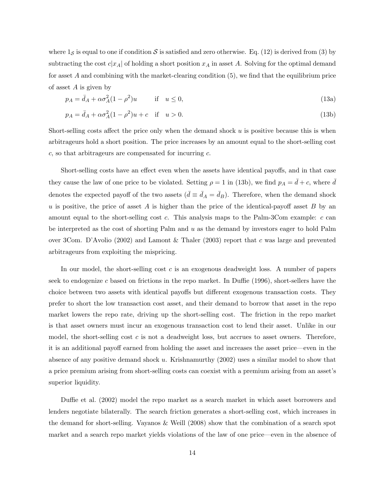where  $1_{\mathcal{S}}$  is equal to one if condition  $\mathcal{S}$  is satisfied and zero otherwise. Eq. (12) is derived from (3) by subtracting the cost  $c|x_A|$  of holding a short position  $x_A$  in asset A. Solving for the optimal demand for asset A and combining with the market-clearing condition  $(5)$ , we find that the equilibrium price of asset  $A$  is given by

$$
p_A = \bar{d}_A + \alpha \sigma_A^2 (1 - \rho^2) u \qquad \text{if} \quad u \le 0,
$$
\n
$$
(13a)
$$

$$
p_A = \bar{d}_A + \alpha \sigma_A^2 (1 - \rho^2) u + c \quad \text{if} \quad u > 0. \tag{13b}
$$

Short-selling costs affect the price only when the demand shock  $u$  is positive because this is when arbitrageurs hold a short position. The price increases by an amount equal to the short-selling cost  $c$ , so that arbitrageurs are compensated for incurring  $c$ .

Short-selling costs have an effect even when the assets have identical payoffs, and in that case they cause the law of one price to be violated. Setting  $\rho = 1$  in (13b), we find  $p_A = \bar{d} + c$ , where  $\bar{d}$ denotes the expected payoff of the two assets  $(\bar{d} \equiv \bar{d}_A = \bar{d}_B)$ . Therefore, when the demand shock u is positive, the price of asset A is higher than the price of the identical-payoff asset B by an amount equal to the short-selling cost c. This analysis maps to the Palm-3Com example:  $c$  can be interpreted as the cost of shorting Palm and  $u$  as the demand by investors eager to hold Palm over 3Com. D'Avolio (2002) and Lamont & Thaler (2003) report that c was large and prevented arbitrageurs from exploiting the mispricing.

In our model, the short-selling cost  $c$  is an exogenous deadweight loss. A number of papers seek to endogenize c based on frictions in the repo market. In Duffie  $(1996)$ , short-sellers have the choice between two assets with identical payoffs but different exogenous transaction costs. They prefer to short the low transaction cost asset, and their demand to borrow that asset in the repo market lowers the repo rate, driving up the short-selling cost. The friction in the repo market is that asset owners must incur an exogenous transaction cost to lend their asset. Unlike in our model, the short-selling cost  $c$  is not a deadweight loss, but accrues to asset owners. Therefore, it is an additional payoff earned from holding the asset and increases the asset price—even in the absence of any positive demand shock u. Krishnamurthy (2002) uses a similar model to show that a price premium arising from short-selling costs can coexist with a premium arising from an asset's superior liquidity.

Duffie et al. (2002) model the repo market as a search market in which asset borrowers and lenders negotiate bilaterally. The search friction generates a short-selling cost, which increases in the demand for short-selling. Vayanos & Weill (2008) show that the combination of a search spot market and a search repo market yields violations of the law of one price—even in the absence of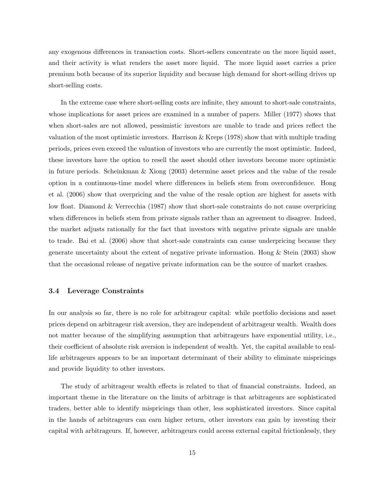any exogenous differences in transaction costs. Short-sellers concentrate on the more liquid asset, and their activity is what renders the asset more liquid. The more liquid asset carries a price premium both because of its superior liquidity and because high demand for short-selling drives up short-selling costs.

In the extreme case where short-selling costs are infinite, they amount to short-sale constraints, whose implications for asset prices are examined in a number of papers. Miller (1977) shows that when short-sales are not allowed, pessimistic investors are unable to trade and prices reflect the valuation of the most optimistic investors. Harrison & Kreps (1978) show that with multiple trading periods, prices even exceed the valuation of investors who are currently the most optimistic. Indeed, these investors have the option to resell the asset should other investors become more optimistic in future periods. Scheinkman & Xiong (2003) determine asset prices and the value of the resale option in a continuous-time model where differences in beliefs stem from overconfidence. Hong et al. (2006) show that overpricing and the value of the resale option are highest for assets with low float. Diamond & Verrecchia (1987) show that short-sale constraints do not cause overpricing when differences in beliefs stem from private signals rather than an agreement to disagree. Indeed, the market adjusts rationally for the fact that investors with negative private signals are unable to trade. Bai et al. (2006) show that short-sale constraints can cause underpricing because they generate uncertainty about the extent of negative private information. Hong  $\&$  Stein (2003) show that the occasional release of negative private information can be the source of market crashes.

# 3.4 Leverage Constraints

In our analysis so far, there is no role for arbitrageur capital: while portfolio decisions and asset prices depend on arbitrageur risk aversion, they are independent of arbitrageur wealth. Wealth does not matter because of the simplifying assumption that arbitrageurs have exponential utility, i.e., their coefficient of absolute risk aversion is independent of wealth. Yet, the capital available to reallife arbitrageurs appears to be an important determinant of their ability to eliminate mispricings and provide liquidity to other investors.

The study of arbitrageur wealth effects is related to that of financial constraints. Indeed, an important theme in the literature on the limits of arbitrage is that arbitrageurs are sophisticated traders, better able to identify mispricings than other, less sophisticated investors. Since capital in the hands of arbitrageurs can earn higher return, other investors can gain by investing their capital with arbitrageurs. If, however, arbitrageurs could access external capital frictionlessly, they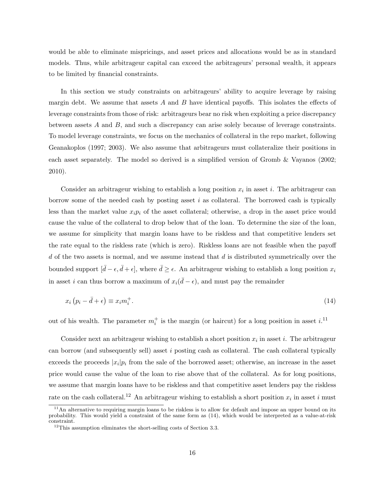would be able to eliminate mispricings, and asset prices and allocations would be as in standard models. Thus, while arbitrageur capital can exceed the arbitrageurs' personal wealth, it appears to be limited by financial constraints.

In this section we study constraints on arbitrageurs' ability to acquire leverage by raising margin debt. We assume that assets  $A$  and  $B$  have identical payoffs. This isolates the effects of leverage constraints from those of risk: arbitrageurs bear no risk when exploiting a price discrepancy between assets A and B, and such a discrepancy can arise solely because of leverage constraints. To model leverage constraints, we focus on the mechanics of collateral in the repo market, following Geanakoplos (1997; 2003). We also assume that arbitrageurs must collateralize their positions in each asset separately. The model so derived is a simplified version of Gromb & Vayanos (2002; 2010).

Consider an arbitrageur wishing to establish a long position  $x_i$  in asset i. The arbitrageur can borrow some of the needed cash by posting asset  $i$  as collateral. The borrowed cash is typically less than the market value  $x_i p_i$  of the asset collateral; otherwise, a drop in the asset price would cause the value of the collateral to drop below that of the loan. To determine the size of the loan, we assume for simplicity that margin loans have to be riskless and that competitive lenders set the rate equal to the riskless rate (which is zero). Riskless loans are not feasible when the payoff  $d$  of the two assets is normal, and we assume instead that  $d$  is distributed symmetrically over the bounded support  $[\bar{d} - \epsilon, \bar{d} + \epsilon]$ , where  $\bar{d} \geq \epsilon$ . An arbitrageur wishing to establish a long position  $x_i$ in asset *i* can thus borrow a maximum of  $x_i(\bar{d} - \epsilon)$ , and must pay the remainder

$$
x_i (p_i - \bar{d} + \epsilon) \equiv x_i m_i^+.
$$
 (14)

out of his wealth. The parameter  $m_i^+$  is the margin (or haircut) for a long position in asset  $i$ .<sup>11</sup>

Consider next an arbitrageur wishing to establish a short position  $x_i$  in asset *i*. The arbitrageur can borrow (and subsequently sell) asset i posting cash as collateral. The cash collateral typically exceeds the proceeds  $|x_i|p_i$  from the sale of the borrowed asset; otherwise, an increase in the asset price would cause the value of the loan to rise above that of the collateral. As for long positions, we assume that margin loans have to be riskless and that competitive asset lenders pay the riskless rate on the cash collateral.<sup>12</sup> An arbitrageur wishing to establish a short position  $x_i$  in asset i must

 $11$ An alternative to requiring margin loans to be riskless is to allow for default and impose an upper bound on its probability. This would yield a constraint of the same form as (14), which would be interpreted as a value-at-risk constraint.

 $12$ This assumption eliminates the short-selling costs of Section 3.3.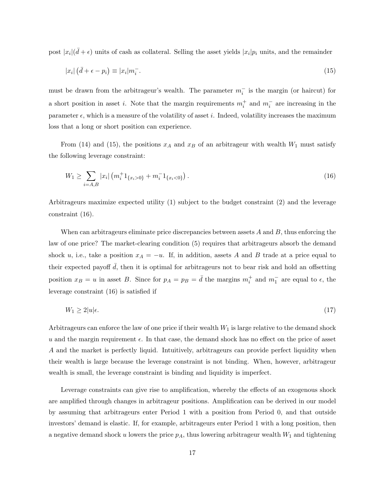post  $|x_i|(\bar{d} + \epsilon)$  units of cash as collateral. Selling the asset yields  $|x_i|p_i$  units, and the remainder

$$
|x_i|(\bar{d} + \epsilon - p_i) \equiv |x_i|m_i^-.
$$
\n(15)

must be drawn from the arbitrageur's wealth. The parameter  $m_i^{\text{-}}$  is the margin (or haircut) for a short position in asset i. Note that the margin requirements  $m_i^+$  and  $m_i^-$  are increasing in the parameter  $\epsilon$ , which is a measure of the volatility of asset i. Indeed, volatility increases the maximum loss that a long or short position can experience.

From (14) and (15), the positions  $x_A$  and  $x_B$  of an arbitrageur with wealth  $W_1$  must satisfy the following leverage constraint:

$$
W_1 \ge \sum_{i=A,B} |x_i| \left( m_i^+ 1_{\{x_i > 0\}} + m_i^- 1_{\{x_i < 0\}} \right). \tag{16}
$$

Arbitrageurs maximize expected utility (1) subject to the budget constraint (2) and the leverage constraint (16).

When can arbitrageurs eliminate price discrepancies between assets  $A$  and  $B$ , thus enforcing the law of one price? The market-clearing condition (5) requires that arbitrageurs absorb the demand shock u, i.e., take a position  $x_A = -u$ . If, in addition, assets A and B trade at a price equal to their expected payoff  $d$ , then it is optimal for arbitrageurs not to bear risk and hold an offsetting position  $x_B = u$  in asset B. Since for  $p_A = p_B = \bar{d}$  the margins  $m_i^+$  and  $m_i^-$  are equal to  $\epsilon$ , the leverage constraint (16) is satisfied if

$$
W_1 \ge 2|u|\epsilon. \tag{17}
$$

Arbitrageurs can enforce the law of one price if their wealth  $W_1$  is large relative to the demand shock u and the margin requirement  $\epsilon$ . In that case, the demand shock has no effect on the price of asset A and the market is perfectly liquid. Intuitively, arbitrageurs can provide perfect liquidity when their wealth is large because the leverage constraint is not binding. When, however, arbitrageur wealth is small, the leverage constraint is binding and liquidity is imperfect.

Leverage constraints can give rise to amplification, whereby the effects of an exogenous shock are amplified through changes in arbitrageur positions. Amplification can be derived in our model by assuming that arbitrageurs enter Period 1 with a position from Period 0, and that outside investors' demand is elastic. If, for example, arbitrageurs enter Period 1 with a long position, then a negative demand shock u lowers the price  $p_A$ , thus lowering arbitrageur wealth  $W_1$  and tightening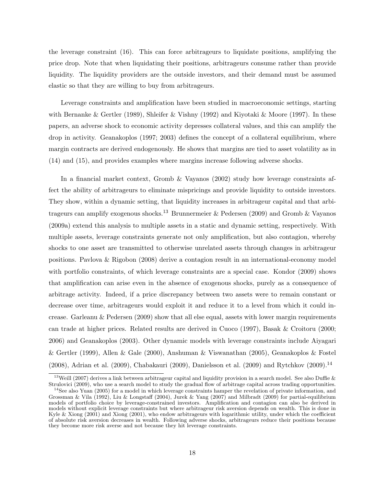the leverage constraint (16). This can force arbitrageurs to liquidate positions, amplifying the price drop. Note that when liquidating their positions, arbitrageurs consume rather than provide liquidity. The liquidity providers are the outside investors, and their demand must be assumed elastic so that they are willing to buy from arbitrageurs.

Leverage constraints and amplification have been studied in macroeconomic settings, starting with Bernanke & Gertler (1989), Shleifer & Vishny (1992) and Kiyotaki & Moore (1997). In these papers, an adverse shock to economic activity depresses collateral values, and this can amplify the drop in activity. Geanakoplos (1997; 2003) defines the concept of a collateral equilibrium, where margin contracts are derived endogenously. He shows that margins are tied to asset volatility as in (14) and (15), and provides examples where margins increase following adverse shocks.

In a financial market context, Gromb & Vayanos (2002) study how leverage constraints affect the ability of arbitrageurs to eliminate mispricings and provide liquidity to outside investors. They show, within a dynamic setting, that liquidity increases in arbitrageur capital and that arbitrageurs can amplify exogenous shocks.<sup>13</sup> Brunnermeier & Pedersen (2009) and Gromb & Vayanos (2009a) extend this analysis to multiple assets in a static and dynamic setting, respectively. With multiple assets, leverage constraints generate not only amplification, but also contagion, whereby shocks to one asset are transmitted to otherwise unrelated assets through changes in arbitrageur positions. Pavlova & Rigobon (2008) derive a contagion result in an international-economy model with portfolio constraints, of which leverage constraints are a special case. Kondor (2009) shows that amplification can arise even in the absence of exogenous shocks, purely as a consequence of arbitrage activity. Indeed, if a price discrepancy between two assets were to remain constant or decrease over time, arbitrageurs would exploit it and reduce it to a level from which it could increase. Garleanu & Pedersen (2009) show that all else equal, assets with lower margin requirements can trade at higher prices. Related results are derived in Cuoco (1997), Basak & Croitoru (2000; 2006) and Geanakoplos (2003). Other dynamic models with leverage constraints include Aiyagari & Gertler (1999), Allen & Gale (2000), Anshuman & Viswanathan (2005), Geanakoplos & Fostel (2008), Adrian et al. (2009), Chabakauri (2009), Danielsson et al. (2009) and Rytchkov (2009).<sup>14</sup>

<sup>&</sup>lt;sup>13</sup>Weill (2007) derives a link between arbitrageur capital and liquidity provision in a search model. See also Duffie  $\&$ Strulovici (2009), who use a search model to study the gradual flow of arbitrage capital across trading opportunities.

 $14$ See also Yuan (2005) for a model in which leverage constraints hamper the revelation of private information, and Grossman & Vila (1992), Liu & Longstaff (2004), Jurek & Yang (2007) and Milbradt (2009) for partial-equilibrium models of portfolio choice by leverage-constrained investors. Amplification and contagion can also be derived in models without explicit leverage constraints but where arbitrageur risk aversion depends on wealth. This is done in Kyle & Xiong (2001) and Xiong (2001), who endow arbitrageurs with logarithmic utility, under which the coefficient of absolute risk aversion decreases in wealth. Following adverse shocks, arbitrageurs reduce their positions because they become more risk averse and not because they hit leverage constraints.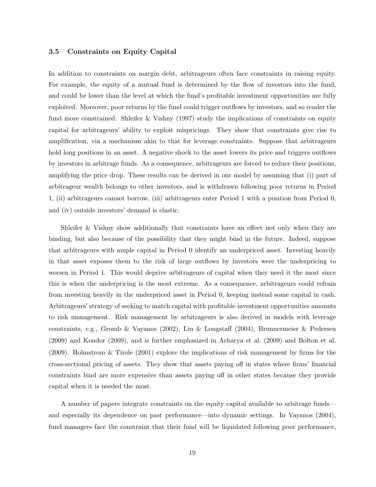# 3.5 Constraints on Equity Capital

In addition to constraints on margin debt, arbitrageurs often face constraints in raising equity. For example, the equity of a mutual fund is determined by the flow of investors into the fund, and could be lower than the level at which the fund's profitable investment opportunities are fully exploited. Moreover, poor returns by the fund could trigger outflows by investors, and so render the fund more constrained. Shleifer & Vishny (1997) study the implications of constraints on equity capital for arbitrageurs' ability to exploit mispricings. They show that constraints give rise to amplification, via a mechanism akin to that for leverage constraints. Suppose that arbitrageurs hold long positions in an asset. A negative shock to the asset lowers its price and triggers outflows by investors in arbitrage funds. As a consequence, arbitrageurs are forced to reduce their positions, amplifying the price drop. These results can be derived in our model by assuming that (i) part of arbitrageur wealth belongs to other investors, and is withdrawn following poor returns in Period 1, (ii) arbitrageurs cannot borrow, (iii) arbitrageurs enter Period 1 with a position from Period 0, and (iv) outside investors' demand is elastic.

Shleifer & Vishny show additionally that constraints have an effect not only when they are binding, but also because of the possibility that they might bind in the future. Indeed, suppose that arbitrageurs with ample capital in Period 0 identify an underpriced asset. Investing heavily in that asset exposes them to the risk of large outflows by investors were the underpricing to worsen in Period 1. This would deprive arbitrageurs of capital when they need it the most since this is when the underpricing is the most extreme. As a consequence, arbitrageurs could refrain from investing heavily in the underpriced asset in Period 0, keeping instead some capital in cash. Arbitrageurs' strategy of seeking to match capital with profitable investment opportunities amounts to risk management. Risk management by arbitrageurs is also derived in models with leverage constraints, e.g., Gromb & Vayanos (2002), Liu & Longstaff (2004), Brunnermeier & Pedersen (2009) and Kondor (2009), and is further emphasized in Acharya et al. (2009) and Bolton et al. (2009). Holmstrom & Tirole (2001) explore the implications of risk management by firms for the cross-sectional pricing of assets. They show that assets paying off in states where firms' financial constraints bind are more expensive than assets paying off in other states because they provide capital when it is needed the most.

A number of papers integrate constraints on the equity capital available to arbitrage funds and especially its dependence on past performance—into dynamic settings. In Vayanos (2004), fund managers face the constraint that their fund will be liquidated following poor performance,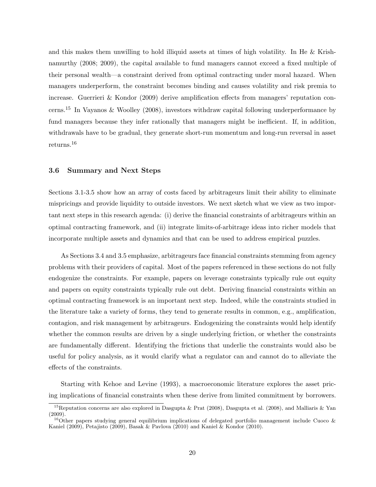and this makes them unwilling to hold illiquid assets at times of high volatility. In He  $\&$  Krishnamurthy (2008; 2009), the capital available to fund managers cannot exceed a fixed multiple of their personal wealth—a constraint derived from optimal contracting under moral hazard. When managers underperform, the constraint becomes binding and causes volatility and risk premia to increase. Guerrieri & Kondor (2009) derive amplification effects from managers' reputation concerns.<sup>15</sup> In Vayanos & Woolley (2008), investors withdraw capital following underperformance by fund managers because they infer rationally that managers might be inefficient. If, in addition, withdrawals have to be gradual, they generate short-run momentum and long-run reversal in asset returns.<sup>16</sup>

# 3.6 Summary and Next Steps

Sections 3.1-3.5 show how an array of costs faced by arbitrageurs limit their ability to eliminate mispricings and provide liquidity to outside investors. We next sketch what we view as two important next steps in this research agenda: (i) derive the financial constraints of arbitrageurs within an optimal contracting framework, and (ii) integrate limits-of-arbitrage ideas into richer models that incorporate multiple assets and dynamics and that can be used to address empirical puzzles.

As Sections 3.4 and 3.5 emphasize, arbitrageurs face financial constraints stemming from agency problems with their providers of capital. Most of the papers referenced in these sections do not fully endogenize the constraints. For example, papers on leverage constraints typically rule out equity and papers on equity constraints typically rule out debt. Deriving financial constraints within an optimal contracting framework is an important next step. Indeed, while the constraints studied in the literature take a variety of forms, they tend to generate results in common, e.g., amplification, contagion, and risk management by arbitrageurs. Endogenizing the constraints would help identify whether the common results are driven by a single underlying friction, or whether the constraints are fundamentally different. Identifying the frictions that underlie the constraints would also be useful for policy analysis, as it would clarify what a regulator can and cannot do to alleviate the effects of the constraints.

Starting with Kehoe and Levine (1993), a macroeconomic literature explores the asset pricing implications of financial constraints when these derive from limited commitment by borrowers.

<sup>&</sup>lt;sup>15</sup>Reputation concerns are also explored in Dasgupta & Prat (2008), Dasgupta et al. (2008), and Malliaris & Yan (2009).

<sup>&</sup>lt;sup>16</sup>Other papers studying general equilibrium implications of delegated portfolio management include Cuoco & Kaniel (2009), Petajisto (2009), Basak & Pavlova (2010) and Kaniel & Kondor (2010).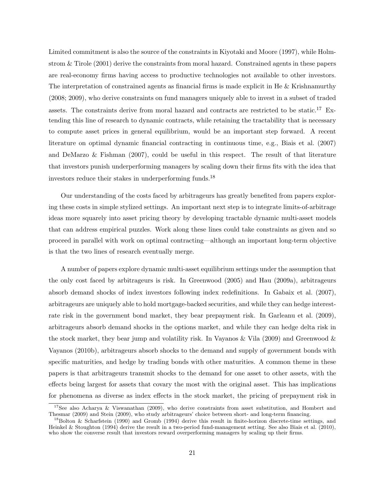Limited commitment is also the source of the constraints in Kiyotaki and Moore (1997), while Holmstrom & Tirole (2001) derive the constraints from moral hazard. Constrained agents in these papers are real-economy firms having access to productive technologies not available to other investors. The interpretation of constrained agents as financial firms is made explicit in He & Krishnamurthy (2008; 2009), who derive constraints on fund managers uniquely able to invest in a subset of traded assets. The constraints derive from moral hazard and contracts are restricted to be static.<sup>17</sup> Extending this line of research to dynamic contracts, while retaining the tractability that is necessary to compute asset prices in general equilibrium, would be an important step forward. A recent literature on optimal dynamic financial contracting in continuous time, e.g., Biais et al. (2007) and DeMarzo  $\&$  Fishman (2007), could be useful in this respect. The result of that literature that investors punish underperforming managers by scaling down their firms fits with the idea that investors reduce their stakes in underperforming funds.<sup>18</sup>

Our understanding of the costs faced by arbitrageurs has greatly benefited from papers exploring these costs in simple stylized settings. An important next step is to integrate limits-of-arbitrage ideas more squarely into asset pricing theory by developing tractable dynamic multi-asset models that can address empirical puzzles. Work along these lines could take constraints as given and so proceed in parallel with work on optimal contracting—although an important long-term objective is that the two lines of research eventually merge.

A number of papers explore dynamic multi-asset equilibrium settings under the assumption that the only cost faced by arbitrageurs is risk. In Greenwood (2005) and Hau (2009a), arbitrageurs absorb demand shocks of index investors following index redefinitions. In Gabaix et al. (2007), arbitrageurs are uniquely able to hold mortgage-backed securities, and while they can hedge interestrate risk in the government bond market, they bear prepayment risk. In Garleanu et al. (2009), arbitrageurs absorb demand shocks in the options market, and while they can hedge delta risk in the stock market, they bear jump and volatility risk. In Vayanos & Vila (2009) and Greenwood  $\&$ Vayanos (2010b), arbitrageurs absorb shocks to the demand and supply of government bonds with specific maturities, and hedge by trading bonds with other maturities. A common theme in these papers is that arbitrageurs transmit shocks to the demand for one asset to other assets, with the effects being largest for assets that covary the most with the original asset. This has implications for phenomena as diverse as index effects in the stock market, the pricing of prepayment risk in

<sup>&</sup>lt;sup>17</sup>See also Acharya & Viswanathan (2009), who derive constraints from asset substitution, and Hombert and Thesmar (2009) and Stein (2009), who study arbitrageurs' choice between short- and long-term financing.

<sup>&</sup>lt;sup>18</sup>Bolton & Scharfstein (1990) and Gromb (1994) derive this result in finite-horizon discrete-time settings, and Heinkel & Stoughton (1994) derive the result in a two-period fund-management setting. See also Biais et al. (2010), who show the converse result that investors reward overperforming managers by scaling up their firms.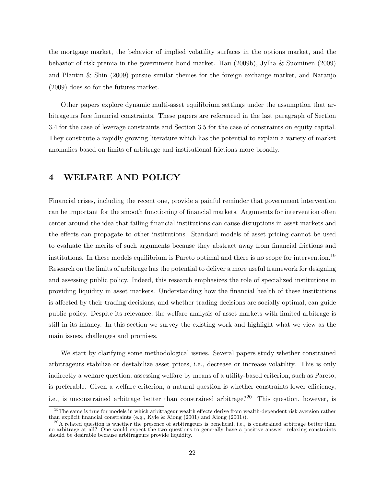the mortgage market, the behavior of implied volatility surfaces in the options market, and the behavior of risk premia in the government bond market. Hau (2009b), Jylha & Suominen (2009) and Plantin & Shin (2009) pursue similar themes for the foreign exchange market, and Naranjo (2009) does so for the futures market.

Other papers explore dynamic multi-asset equilibrium settings under the assumption that arbitrageurs face financial constraints. These papers are referenced in the last paragraph of Section 3.4 for the case of leverage constraints and Section 3.5 for the case of constraints on equity capital. They constitute a rapidly growing literature which has the potential to explain a variety of market anomalies based on limits of arbitrage and institutional frictions more broadly.

# 4 WELFARE AND POLICY

Financial crises, including the recent one, provide a painful reminder that government intervention can be important for the smooth functioning of financial markets. Arguments for intervention often center around the idea that failing financial institutions can cause disruptions in asset markets and the effects can propagate to other institutions. Standard models of asset pricing cannot be used to evaluate the merits of such arguments because they abstract away from financial frictions and institutions. In these models equilibrium is Pareto optimal and there is no scope for intervention.<sup>19</sup> Research on the limits of arbitrage has the potential to deliver a more useful framework for designing and assessing public policy. Indeed, this research emphasizes the role of specialized institutions in providing liquidity in asset markets. Understanding how the financial health of these institutions is affected by their trading decisions, and whether trading decisions are socially optimal, can guide public policy. Despite its relevance, the welfare analysis of asset markets with limited arbitrage is still in its infancy. In this section we survey the existing work and highlight what we view as the main issues, challenges and promises.

We start by clarifying some methodological issues. Several papers study whether constrained arbitrageurs stabilize or destabilize asset prices, i.e., decrease or increase volatility. This is only indirectly a welfare question; assessing welfare by means of a utility-based criterion, such as Pareto, is preferable. Given a welfare criterion, a natural question is whether constraints lower efficiency, i.e., is unconstrained arbitrage better than constrained arbitrage?<sup>20</sup> This question, however, is

<sup>&</sup>lt;sup>19</sup>The same is true for models in which arbitrageur wealth effects derive from wealth-dependent risk aversion rather than explicit financial constraints (e.g., Kyle & Xiong  $(2001)$  and Xiong  $(2001)$ ).

 $^{20}$ A related question is whether the presence of arbitrageurs is beneficial, i.e., is constrained arbitrage better than no arbitrage at all? One would expect the two questions to generally have a positive answer: relaxing constraints should be desirable because arbitrageurs provide liquidity.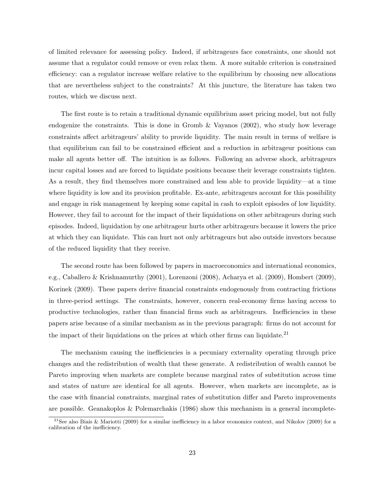of limited relevance for assessing policy. Indeed, if arbitrageurs face constraints, one should not assume that a regulator could remove or even relax them. A more suitable criterion is constrained efficiency: can a regulator increase welfare relative to the equilibrium by choosing new allocations that are nevertheless subject to the constraints? At this juncture, the literature has taken two routes, which we discuss next.

The first route is to retain a traditional dynamic equilibrium asset pricing model, but not fully endogenize the constraints. This is done in Gromb  $\&$  Vayanos (2002), who study how leverage constraints affect arbitrageurs' ability to provide liquidity. The main result in terms of welfare is that equilibrium can fail to be constrained efficient and a reduction in arbitrageur positions can make all agents better off. The intuition is as follows. Following an adverse shock, arbitrageurs incur capital losses and are forced to liquidate positions because their leverage constraints tighten. As a result, they find themselves more constrained and less able to provide liquidity—at a time where liquidity is low and its provision profitable. Ex-ante, arbitrageurs account for this possibility and engage in risk management by keeping some capital in cash to exploit episodes of low liquidity. However, they fail to account for the impact of their liquidations on other arbitrageurs during such episodes. Indeed, liquidation by one arbitrageur hurts other arbitrageurs because it lowers the price at which they can liquidate. This can hurt not only arbitrageurs but also outside investors because of the reduced liquidity that they receive.

The second route has been followed by papers in macroeconomics and international economics, e.g., Caballero & Krishnamurthy (2001), Lorenzoni (2008), Acharya et al. (2009), Hombert (2009), Korinek (2009). These papers derive financial constraints endogenously from contracting frictions in three-period settings. The constraints, however, concern real-economy firms having access to productive technologies, rather than financial firms such as arbitrageurs. Inefficiencies in these papers arise because of a similar mechanism as in the previous paragraph: firms do not account for the impact of their liquidations on the prices at which other firms can liquidate.<sup>21</sup>

The mechanism causing the inefficiencies is a pecuniary externality operating through price changes and the redistribution of wealth that these generate. A redistribution of wealth cannot be Pareto improving when markets are complete because marginal rates of substitution across time and states of nature are identical for all agents. However, when markets are incomplete, as is the case with financial constraints, marginal rates of substitution differ and Pareto improvements are possible. Geanakoplos & Polemarchakis (1986) show this mechanism in a general incomplete-

<sup>&</sup>lt;sup>21</sup>See also Biais & Mariotti (2009) for a similar inefficiency in a labor economics context, and Nikolov (2009) for a calibration of the inefficiency.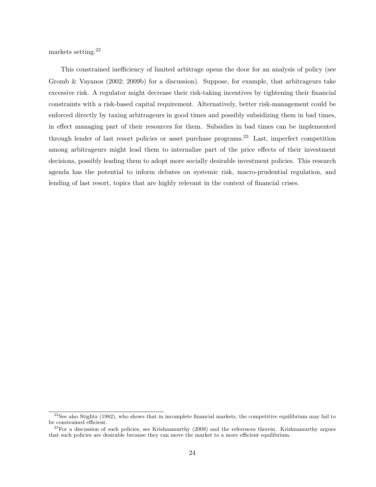markets setting.<sup>22</sup>

This constrained inefficiency of limited arbitrage opens the door for an analysis of policy (see Gromb & Vayanos (2002; 2009b) for a discussion). Suppose, for example, that arbitrageurs take excessive risk. A regulator might decrease their risk-taking incentives by tightening their financial constraints with a risk-based capital requirement. Alternatively, better risk-management could be enforced directly by taxing arbitrageurs in good times and possibly subsidizing them in bad times, in effect managing part of their resources for them. Subsidies in bad times can be implemented through lender of last resort policies or asset purchase programs.<sup>23</sup> Last, imperfect competition among arbitrageurs might lead them to internalize part of the price effects of their investment decisions, possibly leading them to adopt more socially desirable investment policies. This research agenda has the potential to inform debates on systemic risk, macro-prudential regulation, and lending of last resort, topics that are highly relevant in the context of financial crises.

 $22$ See also Stiglitz (1982), who shows that in incomplete financial markets, the competitive equilibrium may fail to be constrained efficient.

 $^{23}$ For a discussion of such policies, see Krishnamurthy (2009) and the references therein. Krishnamurthy argues that such policies are desirable because they can move the market to a more efficient equilibrium.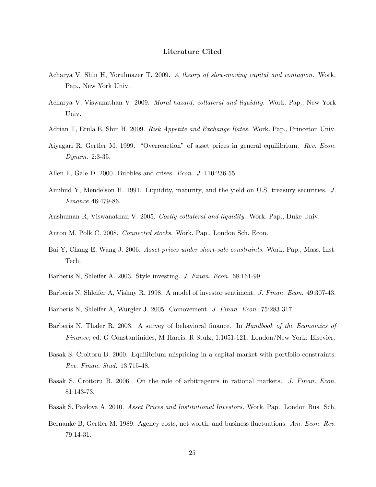## Literature Cited

- Acharya V, Shin H, Yorulmazer T. 2009. A theory of slow-moving capital and contagion. Work. Pap., New York Univ.
- Acharya V, Viswanathan V. 2009. Moral hazard, collateral and liquidity. Work. Pap., New York Univ.
- Adrian T, Etula E, Shin H. 2009. *Risk Appetite and Exchange Rates.* Work. Pap., Princeton Univ.
- Aiyagari R, Gertler M. 1999. "Overreaction" of asset prices in general equilibrium. Rev. Econ. Dynam. 2:3-35.
- Allen F, Gale D. 2000. Bubbles and crises. Econ. J. 110:236-55.
- Amihud Y, Mendelson H. 1991. Liquidity, maturity, and the yield on U.S. treasury securities. J. Finance 46:479-86.
- Anshuman R, Viswanathan V. 2005. Costly collateral and liquidity. Work. Pap., Duke Univ.
- Anton M, Polk C. 2008. Connected stocks. Work. Pap., London Sch. Econ.
- Bai Y, Chang E, Wang J. 2006. Asset prices under short-sale constraints. Work. Pap., Mass. Inst. Tech.
- Barberis N, Shleifer A. 2003. Style investing. J. Finan. Econ. 68:161-99.
- Barberis N, Shleifer A, Vishny R. 1998. A model of investor sentiment. J. Finan. Econ. 49:307-43.
- Barberis N, Shleifer A, Wurgler J. 2005. Comovement. J. Finan. Econ. 75:283-317.
- Barberis N, Thaler R. 2003. A survey of behavioral finance. In Handbook of the Economics of Finance, ed. G Constantinides, M Harris, R Stulz, 1:1051-121. London/New York: Elsevier.
- Basak S, Croitoru B. 2000. Equilibrium mispricing in a capital market with portfolio constraints. Rev. Finan. Stud. 13:715-48.
- Basak S, Croitoru B. 2006. On the role of arbitrageurs in rational markets. J. Finan. Econ. 81:143-73.
- Basak S, Pavlova A. 2010. Asset Prices and Institutional Investors. Work. Pap., London Bus. Sch.
- Bernanke B, Gertler M. 1989. Agency costs, net worth, and business fluctuations. Am. Econ. Rev. 79:14-31.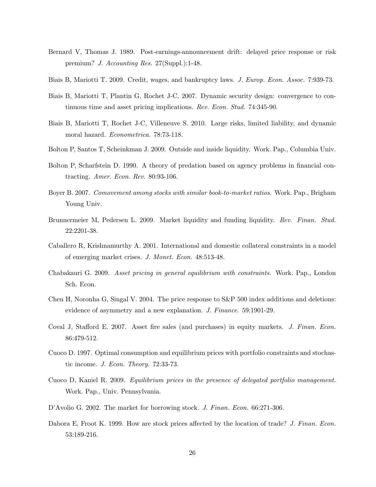- Bernard V, Thomas J. 1989. Post-earnings-announcement drift: delayed price response or risk premium? J. Accounting Res. 27(Suppl.):1-48.
- Biais B, Mariotti T. 2009. Credit, wages, and bankruptcy laws. J. Europ. Econ. Assoc. 7:939-73.
- Biais B, Mariotti T, Plantin G, Rochet J-C. 2007. Dynamic security design: convergence to continuous time and asset pricing implications. Rev. Econ. Stud. 74:345-90.
- Biais B, Mariotti T, Rochet J-C, Villeneuve S. 2010. Large risks, limited liability, and dynamic moral hazard. Econometrica. 78:73-118.
- Bolton P, Santos T, Scheinkman J. 2009. Outside and inside liquidity. Work. Pap., Columbia Univ.
- Bolton P, Scharfstein D. 1990. A theory of predation based on agency problems in financial contracting. Amer. Econ. Rev. 80:93-106.
- Boyer B. 2007. Comovement among stocks with similar book-to-market ratios. Work. Pap., Brigham Young Univ.
- Brunnermeier M, Pedersen L. 2009. Market liquidity and funding liquidity. Rev. Finan. Stud. 22:2201-38.
- Caballero R, Krishnamurthy A. 2001. International and domestic collateral constraints in a model of emerging market crises. J. Monet. Econ. 48:513-48.
- Chabakauri G. 2009. Asset pricing in general equilibrium with constraints. Work. Pap., London Sch. Econ.
- Chen H, Noronha G, Singal V. 2004. The price response to S&P 500 index additions and deletions: evidence of asymmetry and a new explanation. J. Finance. 59:1901-29.
- Coval J, Stafford E. 2007. Asset fire sales (and purchases) in equity markets. J. Finan. Econ. 86:479-512.
- Cuoco D. 1997. Optimal consumption and equilibrium prices with portfolio constraints and stochastic income. J. Econ. Theory. 72:33-73.
- Cuoco D, Kaniel R. 2009. Equilibrium prices in the presence of delegated portfolio management. Work. Pap., Univ. Pennsylvania.
- D'Avolio G. 2002. The market for borrowing stock. J. Finan. Econ. 66:271-306.
- Dabora E, Froot K. 1999. How are stock prices affected by the location of trade? J. Finan. Econ. 53:189-216.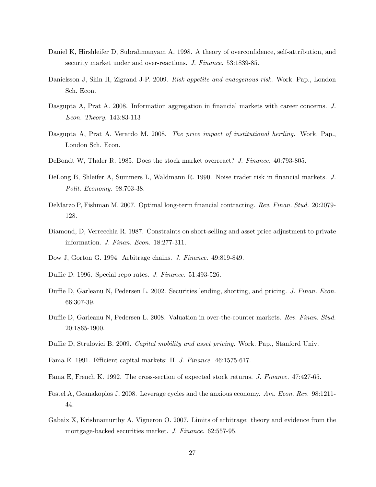- Daniel K, Hirshleifer D, Subrahmanyam A. 1998. A theory of overconfidence, self-attribution, and security market under and over-reactions. J. Finance. 53:1839-85.
- Danielsson J, Shin H, Zigrand J-P. 2009. Risk appetite and endogenous risk. Work. Pap., London Sch. Econ.
- Dasgupta A, Prat A. 2008. Information aggregation in financial markets with career concerns. J. Econ. Theory. 143:83-113
- Dasgupta A, Prat A, Verardo M. 2008. The price impact of institutional herding. Work. Pap., London Sch. Econ.
- DeBondt W, Thaler R. 1985. Does the stock market overreact? J. Finance. 40:793-805.
- DeLong B, Shleifer A, Summers L, Waldmann R. 1990. Noise trader risk in financial markets. J. Polit. Economy. 98:703-38.
- DeMarzo P, Fishman M. 2007. Optimal long-term financial contracting. Rev. Finan. Stud. 20:2079- 128.
- Diamond, D, Verrecchia R. 1987. Constraints on short-selling and asset price adjustment to private information. J. Finan. Econ. 18:277-311.
- Dow J, Gorton G. 1994. Arbitrage chains. J. Finance. 49:819-849.
- Duffie D. 1996. Special repo rates. J. Finance. 51:493-526.
- Duffie D, Garleanu N, Pedersen L. 2002. Securities lending, shorting, and pricing. J. Finan. Econ. 66:307-39.
- Duffie D, Garleanu N, Pedersen L. 2008. Valuation in over-the-counter markets. Rev. Finan. Stud. 20:1865-1900.
- Duffie D, Strulovici B. 2009. Capital mobility and asset pricing. Work. Pap., Stanford Univ.
- Fama E. 1991. Efficient capital markets: II. J. Finance. 46:1575-617.
- Fama E, French K. 1992. The cross-section of expected stock returns. J. Finance. 47:427-65.
- Fostel A, Geanakoplos J. 2008. Leverage cycles and the anxious economy. Am. Econ. Rev. 98:1211- 44.
- Gabaix X, Krishnamurthy A, Vigneron O. 2007. Limits of arbitrage: theory and evidence from the mortgage-backed securities market. J. Finance. 62:557-95.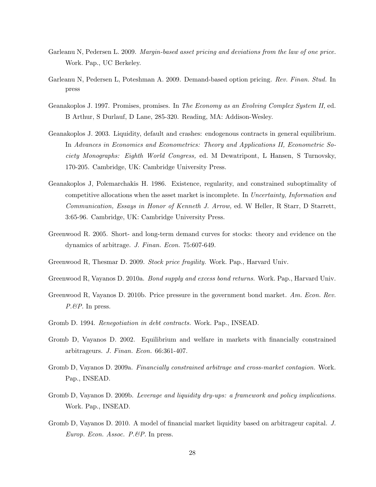- Garleanu N, Pedersen L. 2009. Margin-based asset pricing and deviations from the law of one price. Work. Pap., UC Berkeley.
- Garleanu N, Pedersen L, Poteshman A. 2009. Demand-based option pricing. Rev. Finan. Stud. In press
- Geanakoplos J. 1997. Promises, promises. In The Economy as an Evolving Complex System II, ed. B Arthur, S Durlauf, D Lane, 285-320. Reading, MA: Addison-Wesley.
- Geanakoplos J. 2003. Liquidity, default and crashes: endogenous contracts in general equilibrium. In Advances in Economics and Econometrics: Theory and Applications II, Econometric Society Monographs: Eighth World Congress, ed. M Dewatripont, L Hansen, S Turnovsky, 170-205. Cambridge, UK: Cambridge University Press.
- Geanakoplos J, Polemarchakis H. 1986. Existence, regularity, and constrained suboptimality of competitive allocations when the asset market is incomplete. In Uncertainty, Information and Communication, Essays in Honor of Kenneth J. Arrow, ed. W Heller, R Starr, D Starrett, 3:65-96. Cambridge, UK: Cambridge University Press.
- Greenwood R. 2005. Short- and long-term demand curves for stocks: theory and evidence on the dynamics of arbitrage. J. Finan. Econ. 75:607-649.
- Greenwood R, Thesmar D. 2009. Stock price fragility. Work. Pap., Harvard Univ.
- Greenwood R, Vayanos D. 2010a. *Bond supply and excess bond returns*. Work. Pap., Harvard Univ.
- Greenwood R, Vayanos D. 2010b. Price pressure in the government bond market. Am. Econ. Rev.  $P.E\!\!\!\!\!\beta P.$  In press.
- Gromb D. 1994. Renegotiation in debt contracts. Work. Pap., INSEAD.
- Gromb D, Vayanos D. 2002. Equilibrium and welfare in markets with financially constrained arbitrageurs. J. Finan. Econ. 66:361-407.
- Gromb D, Vayanos D. 2009a. Financially constrained arbitrage and cross-market contagion. Work. Pap., INSEAD.
- Gromb D, Vayanos D. 2009b. Leverage and liquidity dry-ups: a framework and policy implications. Work. Pap., INSEAD.
- Gromb D, Vayanos D. 2010. A model of financial market liquidity based on arbitrageur capital. J. Europ. Econ. Assoc. P.&P. In press.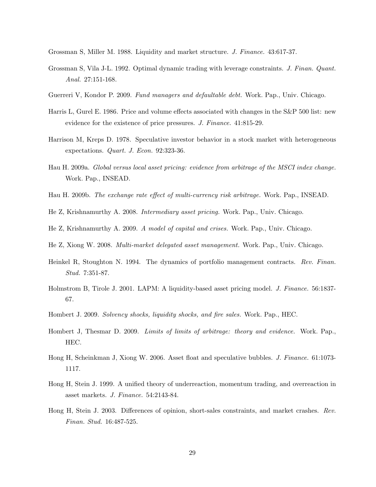Grossman S, Miller M. 1988. Liquidity and market structure. J. Finance. 43:617-37.

- Grossman S, Vila J-L. 1992. Optimal dynamic trading with leverage constraints. J. Finan. Quant. Anal. 27:151-168.
- Guerreri V, Kondor P. 2009. Fund managers and defaultable debt. Work. Pap., Univ. Chicago.
- Harris L, Gurel E. 1986. Price and volume effects associated with changes in the S&P 500 list: new evidence for the existence of price pressures. J. Finance. 41:815-29.
- Harrison M, Kreps D. 1978. Speculative investor behavior in a stock market with heterogeneous expectations. Quart. J. Econ. 92:323-36.
- Hau H. 2009a. Global versus local asset pricing: evidence from arbitrage of the MSCI index change. Work. Pap., INSEAD.
- Hau H. 2009b. The exchange rate effect of multi-currency risk arbitrage. Work. Pap., INSEAD.
- He Z, Krishnamurthy A. 2008. Intermediary asset pricing. Work. Pap., Univ. Chicago.
- He Z, Krishnamurthy A. 2009. A model of capital and crises. Work. Pap., Univ. Chicago.
- He Z, Xiong W. 2008. Multi-market delegated asset management. Work. Pap., Univ. Chicago.
- Heinkel R, Stoughton N. 1994. The dynamics of portfolio management contracts. Rev. Finan. Stud. 7:351-87.
- Holmstrom B, Tirole J. 2001. LAPM: A liquidity-based asset pricing model. J. Finance. 56:1837- 67.
- Hombert J. 2009. Solvency shocks, liquidity shocks, and fire sales. Work. Pap., HEC.
- Hombert J, Thesmar D. 2009. Limits of limits of arbitrage: theory and evidence. Work. Pap., HEC.
- Hong H, Scheinkman J, Xiong W. 2006. Asset float and speculative bubbles. J. Finance. 61:1073- 1117.
- Hong H, Stein J. 1999. A unified theory of underreaction, momentum trading, and overreaction in asset markets. J. Finance. 54:2143-84.
- Hong H, Stein J. 2003. Differences of opinion, short-sales constraints, and market crashes. Rev. Finan. Stud. 16:487-525.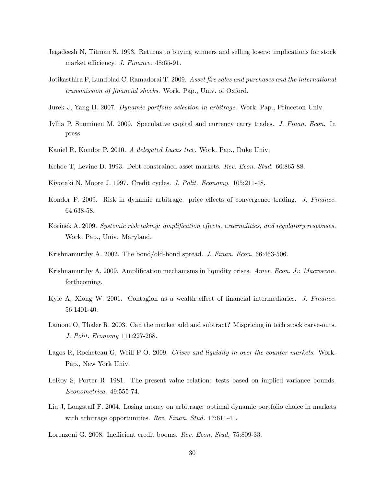- Jegadeesh N, Titman S. 1993. Returns to buying winners and selling losers: implications for stock market efficiency. *J. Finance*. 48:65-91.
- Jotikasthira P, Lundblad C, Ramadorai T. 2009. Asset fire sales and purchases and the international transmission of financial shocks. Work. Pap., Univ. of Oxford.
- Jurek J, Yang H. 2007. Dynamic portfolio selection in arbitrage. Work. Pap., Princeton Univ.
- Jylha P, Suominen M. 2009. Speculative capital and currency carry trades. J. Finan. Econ. In press
- Kaniel R, Kondor P. 2010. A delegated Lucas tree. Work. Pap., Duke Univ.
- Kehoe T, Levine D. 1993. Debt-constrained asset markets. Rev. Econ. Stud. 60:865-88.
- Kiyotaki N, Moore J. 1997. Credit cycles. J. Polit. Economy. 105:211-48.
- Kondor P. 2009. Risk in dynamic arbitrage: price effects of convergence trading. J. Finance. 64:638-58.
- Korinek A. 2009. Systemic risk taking: amplification effects, externalities, and regulatory responses. Work. Pap., Univ. Maryland.
- Krishnamurthy A. 2002. The bond/old-bond spread. J. Finan. Econ. 66:463-506.
- Krishnamurthy A. 2009. Amplification mechanisms in liquidity crises. Amer. Econ. J.: Macroecon. forthcoming.
- Kyle A, Xiong W. 2001. Contagion as a wealth effect of financial intermediaries. J. Finance. 56:1401-40.
- Lamont O, Thaler R. 2003. Can the market add and subtract? Mispricing in tech stock carve-outs. J. Polit. Economy 111:227-268.
- Lagos R, Rocheteau G, Weill P-O. 2009. Crises and liquidity in over the counter markets. Work. Pap., New York Univ.
- LeRoy S, Porter R. 1981. The present value relation: tests based on implied variance bounds. Econometrica. 49:555-74.
- Liu J, Longstaff F. 2004. Losing money on arbitrage: optimal dynamic portfolio choice in markets with arbitrage opportunities. Rev. Finan. Stud. 17:611-41.
- Lorenzoni G. 2008. Inefficient credit booms. Rev. Econ. Stud. 75:809-33.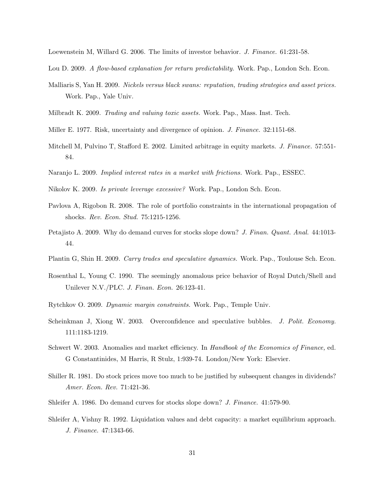Loewenstein M, Willard G. 2006. The limits of investor behavior. J. Finance. 61:231-58.

- Lou D. 2009. A flow-based explanation for return predictability. Work. Pap., London Sch. Econ.
- Malliaris S, Yan H. 2009. Nickels versus black swans: reputation, trading strategies and asset prices. Work. Pap., Yale Univ.
- Milbradt K. 2009. Trading and valuing toxic assets. Work. Pap., Mass. Inst. Tech.
- Miller E. 1977. Risk, uncertainty and divergence of opinion. J. Finance. 32:1151-68.
- Mitchell M, Pulvino T, Stafford E. 2002. Limited arbitrage in equity markets. J. Finance. 57:551- 84.
- Naranjo L. 2009. Implied interest rates in a market with frictions. Work. Pap., ESSEC.
- Nikolov K. 2009. Is private leverage excessive? Work. Pap., London Sch. Econ.
- Pavlova A, Rigobon R. 2008. The role of portfolio constraints in the international propagation of shocks. Rev. Econ. Stud. 75:1215-1256.
- Petajisto A. 2009. Why do demand curves for stocks slope down? J. Finan. Quant. Anal. 44:1013-44.
- Plantin G, Shin H. 2009. Carry trades and speculative dynamics. Work. Pap., Toulouse Sch. Econ.
- Rosenthal L, Young C. 1990. The seemingly anomalous price behavior of Royal Dutch/Shell and Unilever N.V./PLC. J. Finan. Econ. 26:123-41.
- Rytchkov O. 2009. Dynamic margin constraints. Work. Pap., Temple Univ.
- Scheinkman J, Xiong W. 2003. Overconfidence and speculative bubbles. J. Polit. Economy. 111:1183-1219.
- Schwert W. 2003. Anomalies and market efficiency. In Handbook of the Economics of Finance, ed. G Constantinides, M Harris, R Stulz, 1:939-74. London/New York: Elsevier.
- Shiller R. 1981. Do stock prices move too much to be justified by subsequent changes in dividends? Amer. Econ. Rev. 71:421-36.
- Shleifer A. 1986. Do demand curves for stocks slope down? J. Finance. 41:579-90.
- Shleifer A, Vishny R. 1992. Liquidation values and debt capacity: a market equilibrium approach. J. Finance. 47:1343-66.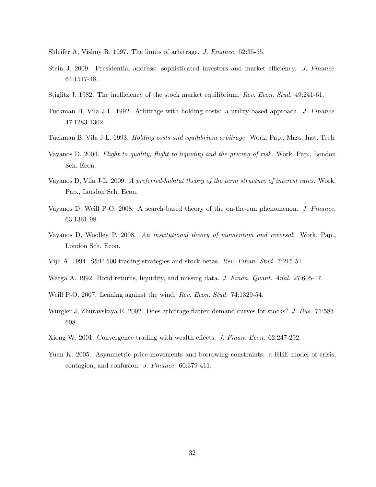- Shleifer A, Vishny R. 1997. The limits of arbitrage. J. Finance. 52:35-55.
- Stein J. 2009. Presidential address: sophisticated investors and market efficiency. J. Finance. 64:1517-48.
- Stiglitz J. 1982. The inefficiency of the stock market equilibrium. Rev. Econ. Stud. 49:241-61.
- Tuckman B, Vila J-L. 1992. Arbitrage with holding costs: a utility-based approach. J. Finance. 47:1283-1302.
- Tuckman B, Vila J-L. 1993. Holding costs and equilibrium arbitrage. Work. Pap., Mass. Inst. Tech.
- Vayanos D. 2004. Flight to quality, flight to liquidity and the pricing of risk. Work. Pap., London Sch. Econ.
- Vayanos D, Vila J-L. 2009. A preferred-habitat theory of the term structure of interest rates. Work. Pap., London Sch. Econ.
- Vayanos D, Weill P-O. 2008. A search-based theory of the on-the-run phenomenon. J. Finance. 63:1361-98.
- Vayanos D, Woolley P. 2008. An institutional theory of momentum and reversal. Work. Pap., London Sch. Econ.
- Vijh A. 1994. S&P 500 trading strategies and stock betas. Rev. Finan. Stud. 7:215-51.
- Warga A. 1992. Bond returns, liquidity, and missing data. J. Finan. Quant. Anal. 27:605-17.
- Weill P-O. 2007. Leaning against the wind. Rev. Econ. Stud. 74:1329-54.
- Wurgler J, Zhuravskaya E. 2002. Does arbitrage flatten demand curves for stocks? J. Bus. 75:583-608.
- Xiong W. 2001. Convergence trading with wealth effects. J. Finan. Econ. 62:247-292.
- Yuan K. 2005. Asymmetric price movements and borrowing constraints: a REE model of crisis, contagion, and confusion. J. Finance. 60:379-411.